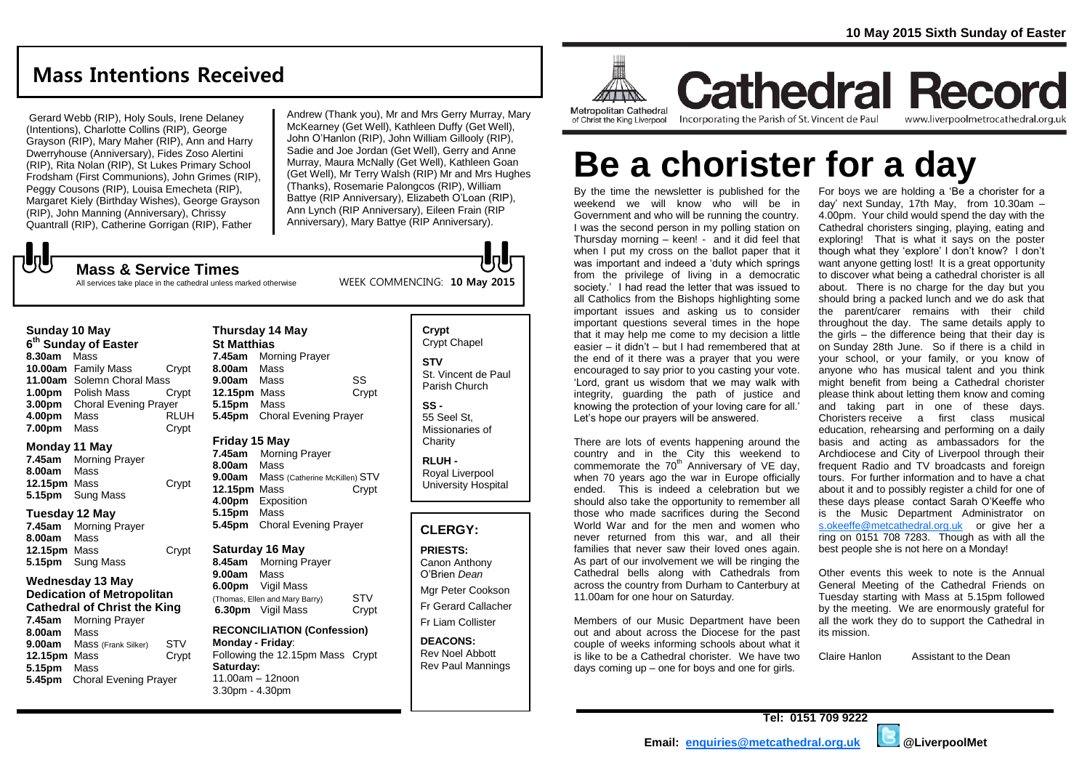# **Mass Intentions Received**

Gerard Webb (RIP), Holy Souls, Irene Delaney (Intentions), Charlotte Collins (RIP), George Grayson (RIP), Mary Maher (RIP), Ann and Harry Dwerryhouse (Anniversary), Fides Zoso Alertini (RIP), Rita Nolan (RIP), St Lukes Primary School Frodsham (First Communions), John Grimes (RIP), Peggy Cousons (RIP), Louisa Emecheta (RIP), Margaret Kiely (Birthday Wishes), George Grayson (RIP), John Manning (Anniversary), Chrissy Quantrall (RIP), Catherine Gorrigan (RIP), Father

**Mass & Service Times**

Andrew (Thank you), Mr and Mrs Gerry Murray, Mary McKearney (Get Well), Kathleen Duffy (Get Well), John O'Hanlon (RIP), John William Gillooly (RIP), Sadie and Joe Jordan (Get Well), Gerry and Anne Murray, Maura McNally (Get Well), Kathleen Goan (Get Well), Mr Terry Walsh (RIP) Mr and Mrs Hughes (Thanks), Rosemarie Palongcos (RIP), William Battye (RIP Anniversary), Elizabeth O'Loan (RIP), Ann Lynch (RIP Anniversary), Eileen Frain (RIP Anniversary), Mary Battye (RIP Anniversary).

WEEK COMMENCING: **10 May 2015**

All services take place in the cathedral unless marked otherwise

#### **Sunday 10 May**

**しし** 

**6 th Sunday of Easter 8.30am** Mass **10.00am** Family Mass Crypt **11.00am** Solemn Choral Mass **1.00pm** Polish Mass Crypt **3.00pm** Choral Evening Prayer **4.00pm** Mass RLUH **7.00pm** Mass Crypt

#### **Monday 11 May**

**7.45am** Morning Prayer **8.00am** Mass **12.15pm** Mass **Crypt 5.15pm** Sung Mass

#### **Tuesday 12 May**

**7.45am** Morning Prayer **8.00am** Mass **12.15pm** Mass Crypt **5.15pm** Sung Mass

#### **Wednesday 13 May Dedication of Metropolitan Cathedral of Christ the King**

**7.45am** Morning Prayer **8.00am** Mass **9.00am** Mass (Frank Silker) STV **12.15pm** Mass Crypt **5.15pm** Mass **5.45pm** Choral Evening Prayer

#### **Thursday 14 May St Matthias 7.45am** Morning Prayer **8.00am** Mass

**9.00am** Mass SS **12.15pm** Mass Crypt **5.15pm** Mass **5.45pm** Choral Evening Prayer

#### **Friday 15 May**

**7.45am** Morning Prayer **8.00am** Mass **9.00am** Mass (Catherine McKillen) STV **12.15pm** Mass Crypt **4.00pm** Exposition **5.15pm** Mass **5.45pm** Choral Evening Prayer

### **Saturday 16 May**

**8.45am** Morning Prayer **9.00am** Mass **6.00pm** Vigil Mass (Thomas, Ellen and Mary Barry) STV<br>**6.30pm** Vigil Mass Crvpt **6.30pm** Vigil Mass

#### **RECONCILIATION (Confession) Monday - Friday**: Following the 12.15pm Mass Crypt **Saturday:** 11.00am – 12noon 3.30pm - 4.30pm

#### **Crypt**  Crypt Chapel **STV** St. Vincent de Paul Parish Church

**SS -** 55 Seel St, Missionaries of **Charity** 

**RLUH -** Royal Liverpool University Hospital

#### **CLERGY:**

**PRIESTS:** Canon Anthony O'Brien *Dean* Mgr Peter Cookson Fr Gerard Callacher Fr Liam Collister

**DEACONS:** Rev Noel Abbott Rev Paul Mannings



**Metropolitan Cathedral** of Christ the King Liverpool

**Cathedral Record** Incorporating the Parish of St. Vincent de Paul www.liverpoolmetrocathedral.org.uk

# **Be a chorister for a day**

By the time the newsletter is published for the weekend we will know who will be in Government and who will be running the country. I was the second person in my polling station on Thursday morning – keen! - and it did feel that when I put my cross on the ballot paper that it was important and indeed a 'duty which springs from the privilege of living in a democratic society.' I had read the letter that was issued to all Catholics from the Bishops highlighting some important issues and asking us to consider important questions several times in the hope that it may help me come to my decision a little easier – it didn't – but I had remembered that at the end of it there was a prayer that you were encouraged to say prior to you casting your vote. 'Lord, grant us wisdom that we may walk with integrity, guarding the path of justice and knowing the protection of your loving care for all.' Let's hope our prayers will be answered.

There are lots of events happening around the country and in the City this weekend to commemorate the  $70<sup>th</sup>$  Anniversary of VE day, when 70 years ago the war in Europe officially ended. This is indeed a celebration but we should also take the opportunity to remember all those who made sacrifices during the Second World War and for the men and women who never returned from this war, and all their families that never saw their loved ones again. As part of our involvement we will be ringing the Cathedral bells along with Cathedrals from across the country from Durham to Canterbury at 11.00am for one hour on Saturday.

Members of our Music Department have been out and about across the Diocese for the past couple of weeks informing schools about what it is like to be a Cathedral chorister. We have two days coming up – one for boys and one for girls.

For boys we are holding a 'Be a chorister for a day' next Sunday, 17th May, from 10.30am – 4.00pm. Your child would spend the day with the Cathedral choristers singing, playing, eating and exploring! That is what it says on the poster though what they 'explore' I don't know? I don't want anyone getting lost! It is a great opportunity to discover what being a cathedral chorister is all about. There is no charge for the day but you should bring a packed lunch and we do ask that the parent/carer remains with their child throughout the day. The same details apply to the girls – the difference being that their day is on Sunday 28th June. So if there is a child in your school, or your family, or you know of anyone who has musical talent and you think might benefit from being a Cathedral chorister please think about letting them know and coming and taking part in one of these days. Choristers receive a first class musical education, rehearsing and performing on a daily basis and acting as ambassadors for the Archdiocese and City of Liverpool through their frequent Radio and TV broadcasts and foreign tours. For further information and to have a chat about it and to possibly register a child for one of these days please contact Sarah O'Keeffe who is the Music Department Administrator on [s.okeeffe@metcathedral.org.uk](mailto:s.okeeffe@metcathedral.org.uk) or give her a ring on 0151 708 7283. Though as with all the best people she is not here on a Monday!

Other events this week to note is the Annual General Meeting of the Cathedral Friends on Tuesday starting with Mass at 5.15pm followed by the meeting. We are enormously grateful for all the work they do to support the Cathedral in its mission.

Claire Hanlon Assistant to the Dean